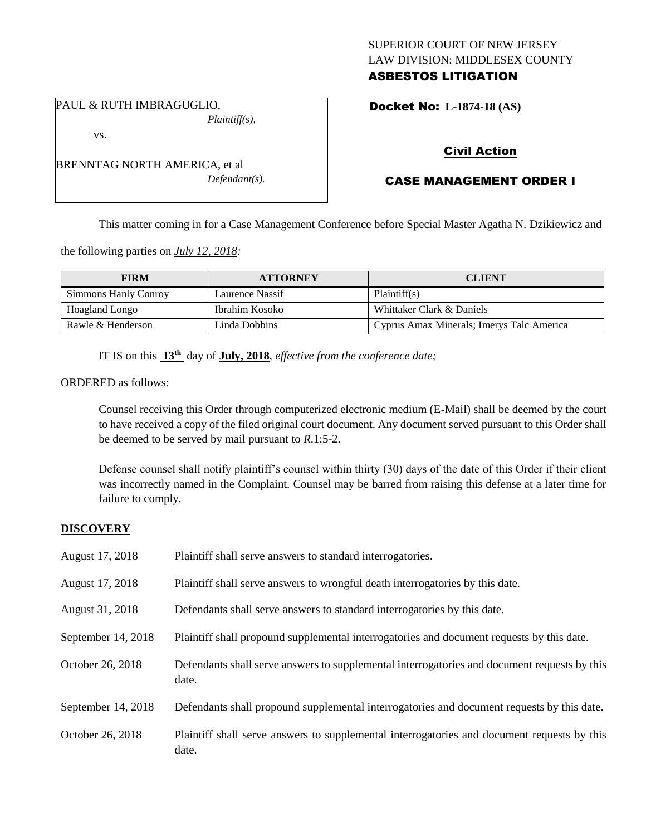## SUPERIOR COURT OF NEW JERSEY LAW DIVISION: MIDDLESEX COUNTY ASBESTOS LITIGATION

PAUL & RUTH IMBRAGUGLIO, *Plaintiff(s),*

vs.

BRENNTAG NORTH AMERICA, et al *Defendant(s).* Docket No: **L-1874-18 (AS)** 

# Civil Action

# CASE MANAGEMENT ORDER I

This matter coming in for a Case Management Conference before Special Master Agatha N. Dzikiewicz and

the following parties on *July 12, 2018:*

| <b>FIRM</b>          | <b>ATTORNEY</b> | <b>CLIENT</b>                             |
|----------------------|-----------------|-------------------------------------------|
| Simmons Hanly Conroy | Laurence Nassif | Plaintiff(s)                              |
| Hoagland Longo       | Ibrahim Kosoko  | Whittaker Clark & Daniels                 |
| Rawle & Henderson    | Linda Dobbins   | Cyprus Amax Minerals; Imerys Talc America |

IT IS on this **13th** day of **July, 2018**, *effective from the conference date;*

ORDERED as follows:

Counsel receiving this Order through computerized electronic medium (E-Mail) shall be deemed by the court to have received a copy of the filed original court document. Any document served pursuant to this Order shall be deemed to be served by mail pursuant to *R*.1:5-2.

Defense counsel shall notify plaintiff's counsel within thirty (30) days of the date of this Order if their client was incorrectly named in the Complaint. Counsel may be barred from raising this defense at a later time for failure to comply.

## **DISCOVERY**

| August 17, 2018    | Plaintiff shall serve answers to standard interrogatories.                                            |
|--------------------|-------------------------------------------------------------------------------------------------------|
| August 17, 2018    | Plaintiff shall serve answers to wrongful death interrogatories by this date.                         |
| August 31, 2018    | Defendants shall serve answers to standard interrogatories by this date.                              |
| September 14, 2018 | Plaintiff shall propound supplemental interrogatories and document requests by this date.             |
| October 26, 2018   | Defendants shall serve answers to supplemental interrogatories and document requests by this<br>date. |
| September 14, 2018 | Defendants shall propound supplemental interrogatories and document requests by this date.            |
| October 26, 2018   | Plaintiff shall serve answers to supplemental interrogatories and document requests by this<br>date.  |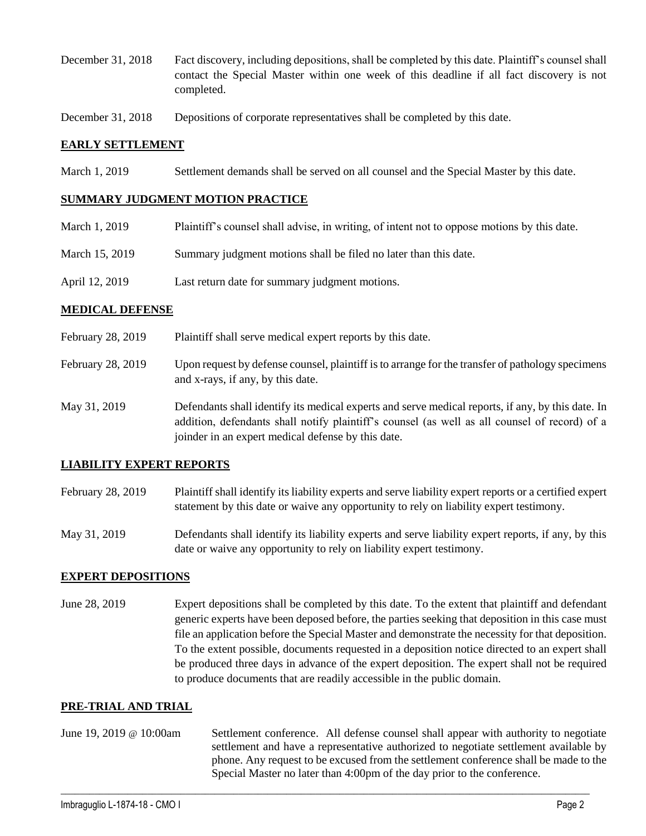- December 31, 2018 Fact discovery, including depositions, shall be completed by this date. Plaintiff's counsel shall contact the Special Master within one week of this deadline if all fact discovery is not completed.
- December 31, 2018 Depositions of corporate representatives shall be completed by this date.

### **EARLY SETTLEMENT**

March 1, 2019 Settlement demands shall be served on all counsel and the Special Master by this date.

#### **SUMMARY JUDGMENT MOTION PRACTICE**

| March 1, 2019  | Plaintiff's counsel shall advise, in writing, of intent not to oppose motions by this date. |
|----------------|---------------------------------------------------------------------------------------------|
| March 15, 2019 | Summary judgment motions shall be filed no later than this date.                            |
| April 12, 2019 | Last return date for summary judgment motions.                                              |

#### **MEDICAL DEFENSE**

- February 28, 2019 Plaintiff shall serve medical expert reports by this date.
- February 28, 2019 Upon request by defense counsel, plaintiff is to arrange for the transfer of pathology specimens and x-rays, if any, by this date.
- May 31, 2019 Defendants shall identify its medical experts and serve medical reports, if any, by this date. In addition, defendants shall notify plaintiff's counsel (as well as all counsel of record) of a joinder in an expert medical defense by this date.

### **LIABILITY EXPERT REPORTS**

- February 28, 2019 Plaintiff shall identify its liability experts and serve liability expert reports or a certified expert statement by this date or waive any opportunity to rely on liability expert testimony.
- May 31, 2019 Defendants shall identify its liability experts and serve liability expert reports, if any, by this date or waive any opportunity to rely on liability expert testimony.

### **EXPERT DEPOSITIONS**

June 28, 2019 Expert depositions shall be completed by this date. To the extent that plaintiff and defendant generic experts have been deposed before, the parties seeking that deposition in this case must file an application before the Special Master and demonstrate the necessity for that deposition. To the extent possible, documents requested in a deposition notice directed to an expert shall be produced three days in advance of the expert deposition. The expert shall not be required to produce documents that are readily accessible in the public domain.

#### **PRE-TRIAL AND TRIAL**

June 19, 2019 @ 10:00am Settlement conference. All defense counsel shall appear with authority to negotiate settlement and have a representative authorized to negotiate settlement available by phone. Any request to be excused from the settlement conference shall be made to the Special Master no later than 4:00pm of the day prior to the conference.

 $\_$  ,  $\_$  ,  $\_$  ,  $\_$  ,  $\_$  ,  $\_$  ,  $\_$  ,  $\_$  ,  $\_$  ,  $\_$  ,  $\_$  ,  $\_$  ,  $\_$  ,  $\_$  ,  $\_$  ,  $\_$  ,  $\_$  ,  $\_$  ,  $\_$  ,  $\_$  ,  $\_$  ,  $\_$  ,  $\_$  ,  $\_$  ,  $\_$  ,  $\_$  ,  $\_$  ,  $\_$  ,  $\_$  ,  $\_$  ,  $\_$  ,  $\_$  ,  $\_$  ,  $\_$  ,  $\_$  ,  $\_$  ,  $\_$  ,